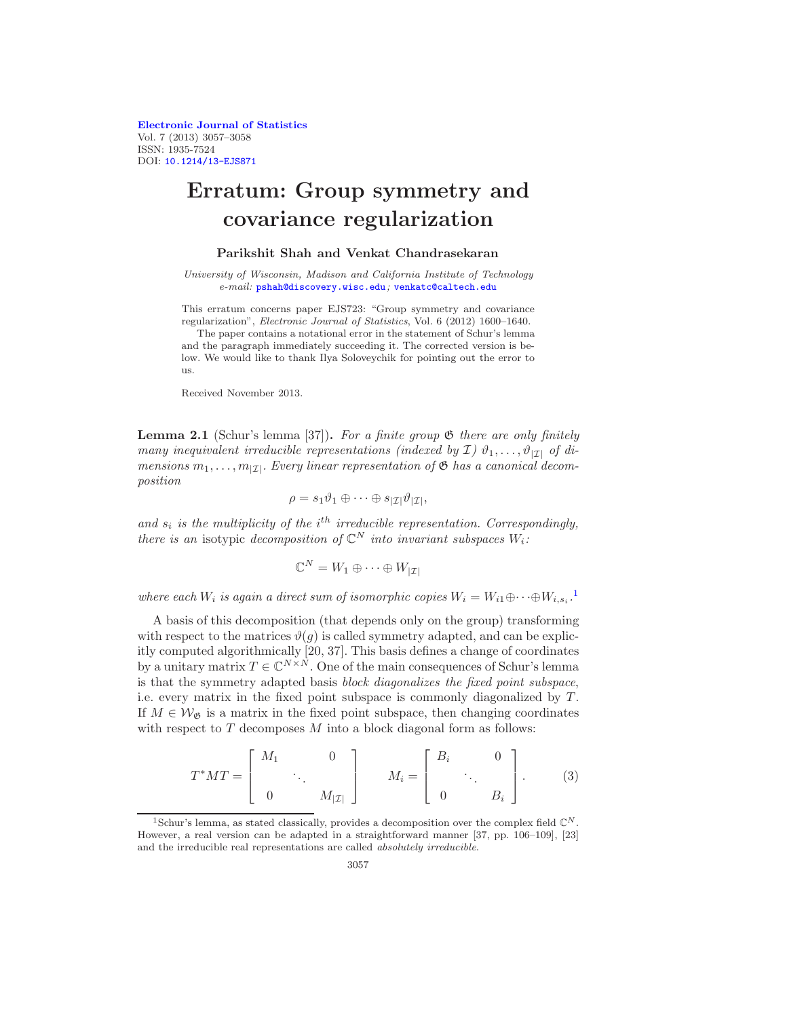[Electronic Journal of Statistics](http://projecteuclid.org/ejs) Vol. 7 (2013) 3057–3058 ISSN: 1935-7524 DOI: [10.1214/13-EJS871](http://dx.doi.org/10.1214/13-EJS871)

## Erratum: Group symmetry and covariance regularization

## Parikshit Shah and Venkat Chandrasekaran

*University of Wisconsin, Madison and California Institute of Technology e-mail:* [pshah@discovery.wisc.edu](mailto:pshah@discovery.wisc.edu)*;* [venkatc@caltech.edu](mailto:venkatc@caltech.edu)

This erratum concerns paper EJS723: "Group symmetry and covariance regularization", *Electronic Journal of Statistics*, Vol. 6 (2012) 1600–1640.

The paper contains a notational error in the statement of Schur's lemma and the paragraph immediately succeeding it. The corrected version is below. We would like to thank Ilya Soloveychik for pointing out the error to us.

Received November 2013.

**Lemma 2.1** (Schur's lemma [37]). For a finite group  $\mathfrak{G}$  there are only finitely many inequivalent irreducible representations (indexed by  $\mathcal{I}$ )  $\vartheta_1, \ldots, \vartheta_{|\mathcal{I}|}$  of dimensions  $m_1, \ldots, m_{|\mathcal{I}|}$ . Every linear representation of  $\mathfrak G$  has a canonical decomposition

$$
\rho = s_1 \vartheta_1 \oplus \cdots \oplus s_{|\mathcal{I}|} \vartheta_{|\mathcal{I}|},
$$

and  $s_i$  is the multiplicity of the i<sup>th</sup> irreducible representation. Correspondingly, there is an isotypic decomposition of  $\mathbb{C}^N$  into invariant subspaces  $W_i$ :

<span id="page-0-1"></span>
$$
\mathbb{C}^N = W_1 \oplus \cdots \oplus W_{|\mathcal{I}|}
$$

where each  $W_i$  is again a direct sum of isomorphic copies  $W_i = W_{i1} \oplus \cdots \oplus W_{i,s_i}$  $W_i = W_{i1} \oplus \cdots \oplus W_{i,s_i}$  $W_i = W_{i1} \oplus \cdots \oplus W_{i,s_i}$ .

A basis of this decomposition (that depends only on the group) transforming with respect to the matrices  $\vartheta(g)$  is called symmetry adapted, and can be explicitly computed algorithmically [20, 37]. This basis defines a change of coordinates by a unitary matrix  $T \in \mathbb{C}^{N \times N}$ . One of the main consequences of Schur's lemma is that the symmetry adapted basis block diagonalizes the fixed point subspace, i.e. every matrix in the fixed point subspace is commonly diagonalized by T. If  $M \in \mathcal{W}_{\mathfrak{G}}$  is a matrix in the fixed point subspace, then changing coordinates with respect to  $T$  decomposes  $M$  into a block diagonal form as follows:

$$
T^*MT = \begin{bmatrix} M_1 & 0 \\ & \ddots & \\ 0 & M_{|\mathcal{I}|} \end{bmatrix} \qquad M_i = \begin{bmatrix} B_i & 0 \\ & \ddots & \\ 0 & B_i \end{bmatrix} . \tag{3}
$$

<span id="page-0-0"></span><sup>&</sup>lt;sup>1</sup>Schur's lemma, as stated classically, provides a decomposition over the complex field  $\mathbb{C}^N$ . However, a real version can be adapted in a straightforward manner [37, pp. 106–109], [23] and the irreducible real representations are called *absolutely irreducible*.